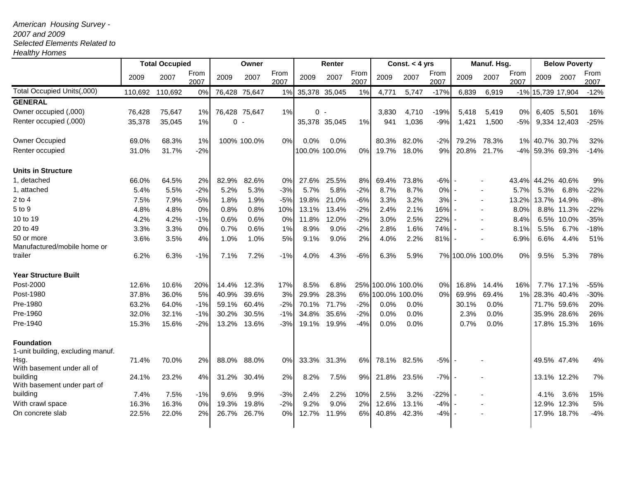## *American Housing Survey -*

## *2007 and 2009*

## *Selected Elements Related to*

*Healthy Homes*

|                                                        | <b>Total Occupied</b> |         |              | Owner       |               |              | Renter  |               |              | Const. $<$ 4 yrs  |       |              | Manuf. Hsg. |                  |              | <b>Below Poverty</b> |                   |              |
|--------------------------------------------------------|-----------------------|---------|--------------|-------------|---------------|--------------|---------|---------------|--------------|-------------------|-------|--------------|-------------|------------------|--------------|----------------------|-------------------|--------------|
|                                                        | 2009                  | 2007    | From<br>2007 | 2009        | 2007          | From<br>2007 | 2009    | 2007          | From<br>2007 | 2009              | 2007  | From<br>2007 | 2009        | 2007             | From<br>2007 | 2009                 | 2007              | From<br>2007 |
| Total Occupied Units(,000)                             | 110,692               | 110,692 | 0%           | 76,428      | 75,647        | 1%           |         | 35,378 35,045 | 1%           | 4,771             | 5,747 | $-17%$       | 6,839       | 6,919            |              |                      | -1% 15,739 17,904 | $-12%$       |
| <b>GENERAL</b>                                         |                       |         |              |             |               |              |         |               |              |                   |       |              |             |                  |              |                      |                   |              |
| Owner occupied (,000)                                  | 76,428                | 75,647  | 1%           |             | 76,428 75,647 | $1\%$        |         | $0 -$         |              | 3,830             | 4,710 | $-19%$       | 5,418       | 5,419            | 0%           |                      | 6,405 5,501       | 16%          |
| Renter occupied (,000)                                 | 35,378                | 35,045  | 1%           | $\mathbf 0$ |               |              |         | 35,378 35,045 | $1\%$        | 941               | 1,036 | -9%          | 1,421       | 1,500            | -5%          |                      | 9,334 12,403      | $-25%$       |
| Owner Occupied                                         | 69.0%                 | 68.3%   | 1%           |             | 100% 100.0%   | 0%           | $0.0\%$ | 0.0%          |              | 80.3%             | 82.0% | $-2%$        | 79.2%       | 78.3%            |              |                      | 1% 40.7% 30.7%    | 32%          |
| Renter occupied                                        | 31.0%                 | 31.7%   | $-2%$        |             |               |              |         | 100.0% 100.0% | $0\%$        | 19.7%             | 18.0% | 9%           | 20.8%       | 21.7%            |              |                      | -4% 59.3% 69.3%   | $-14%$       |
| <b>Units in Structure</b>                              |                       |         |              |             |               |              |         |               |              |                   |       |              |             |                  |              |                      |                   |              |
| 1, detached                                            | 66.0%                 | 64.5%   | 2%           | 82.9%       | 82.6%         | 0%           | 27.6%   | 25.5%         | 8%           | 69.4%             | 73.8% | $-6%$        |             |                  |              |                      | 43.4% 44.2% 40.6% | 9%           |
| 1, attached                                            | 5.4%                  | 5.5%    | $-2%$        | 5.2%        | 5.3%          | $-3%$        | 5.7%    | 5.8%          | $-2%$        | 8.7%              | 8.7%  | 0%           |             |                  | 5.7%         | 5.3%                 | 6.8%              | $-22%$       |
| $2$ to $4$                                             | 7.5%                  | 7.9%    | $-5%$        | 1.8%        | 1.9%          | $-5%$        | 19.8%   | 21.0%         | $-6%$        | 3.3%              | 3.2%  | 3%           |             |                  | 13.2%        |                      | 13.7% 14.9%       | $-8%$        |
| 5 to 9                                                 | 4.8%                  | 4.8%    | 0%           | 0.8%        | 0.8%          | 10%          | 13.1%   | 13.4%         | $-2%$        | 2.4%              | 2.1%  | 16%          |             |                  | 8.0%         |                      | 8.8% 11.3%        | $-22%$       |
| 10 to 19                                               | 4.2%                  | 4.2%    | $-1%$        | 0.6%        | 0.6%          | 0%           | 11.8%   | 12.0%         | $-2%$        | 3.0%              | 2.5%  | 22%          |             |                  | 8.4%         |                      | 6.5% 10.0%        | $-35%$       |
| 20 to 49                                               | 3.3%                  | 3.3%    | 0%           | 0.7%        | 0.6%          | 1%           | 8.9%    | 9.0%          | $-2%$        | 2.8%              | 1.6%  | 74%          |             |                  | 8.1%         | 5.5%                 | 6.7%              | $-18%$       |
| 50 or more<br>Manufactured/mobile home or              | 3.6%                  | 3.5%    | 4%           | 1.0%        | 1.0%          | 5%           | 9.1%    | 9.0%          | 2%           | 4.0%              | 2.2%  | 81%          |             |                  | 6.9%         | 6.6%                 | 4.4%              | 51%          |
| trailer                                                | 6.2%                  | 6.3%    | $-1%$        | 7.1%        | 7.2%          | $-1%$        | 4.0%    | 4.3%          | $-6%$        | 6.3%              | 5.9%  |              |             | 7% 100.0% 100.0% | 0%           | 9.5%                 | 5.3%              | 78%          |
| <b>Year Structure Built</b>                            |                       |         |              |             |               |              |         |               |              |                   |       |              |             |                  |              |                      |                   |              |
| Post-2000                                              | 12.6%                 | 10.6%   | 20%          | 14.4%       | 12.3%         | 17%          | 8.5%    | 6.8%          |              | 25% 100.0% 100.0% |       | 0%           | 16.8%       | 14.4%            | 16%          |                      | 7.7% 17.1%        | $-55%$       |
| Post-1980                                              | 37.8%                 | 36.0%   | 5%           | 40.9%       | 39.6%         | 3%           | 29.9%   | 28.3%         |              | 6% 100.0% 100.0%  |       | 0%           | 69.9%       | 69.4%            | 1%           |                      | 28.3% 40.4%       | $-30%$       |
| Pre-1980                                               | 63.2%                 | 64.0%   | $-1%$        | 59.1%       | 60.4%         | $-2%$        | 70.1%   | 71.7%         | $-2%$        | 0.0%              | 0.0%  |              | 30.1%       | 0.0%             |              |                      | 71.7% 59.6%       | 20%          |
| Pre-1960                                               | 32.0%                 | 32.1%   | $-1%$        | 30.2%       | 30.5%         | $-1%$        | 34.8%   | 35.6%         | $-2%$        | 0.0%              | 0.0%  |              | 2.3%        | 0.0%             |              |                      | 35.9% 28.6%       | 26%          |
| Pre-1940                                               | 15.3%                 | 15.6%   | $-2%$        | 13.2%       | 13.6%         | $-3%$        | 19.1%   | 19.9%         | $-4%$        | 0.0%              | 0.0%  |              | 0.7%        | 0.0%             |              |                      | 17.8% 15.3%       | 16%          |
| <b>Foundation</b><br>1-unit building, excluding manuf. |                       |         |              |             |               |              |         |               |              |                   |       |              |             |                  |              |                      |                   |              |
| Hsg.<br>With basement under all of                     | 71.4%                 | 70.0%   | 2%           | 88.0%       | 88.0%         | 0%           | 33.3%   | 31.3%         | 6%           | 78.1%             | 82.5% | $-5%$        |             |                  |              |                      | 49.5% 47.4%       | 4%           |
| building<br>With basement under part of                | 24.1%                 | 23.2%   | 4%           | 31.2%       | 30.4%         | 2%           | 8.2%    | 7.5%          | 9%           | 21.8%             | 23.5% | $-7%$        |             |                  |              |                      | 13.1% 12.2%       | 7%           |
| building                                               | 7.4%                  | 7.5%    | -1%          | 9.6%        | 9.9%          | $-3%$        | 2.4%    | 2.2%          | 10%          | 2.5%              | 3.2%  | $-22%$       |             |                  |              | 4.1%                 | 3.6%              | 15%          |
| With crawl space                                       | 16.3%                 | 16.3%   | 0%           | 19.3%       | 19.8%         | $-2%$        | 9.2%    | 9.0%          | 2%           | 12.6%             | 13.1% | $-4%$        |             |                  |              |                      | 12.9% 12.3%       | 5%           |
| On concrete slab                                       | 22.5%                 | 22.0%   | 2%           | 26.7%       | 26.7%         | 0%           | 12.7%   | 11.9%         | 6%           | 40.8%             | 42.3% | $-4%$        |             |                  |              |                      | 17.9% 18.7%       | $-4%$        |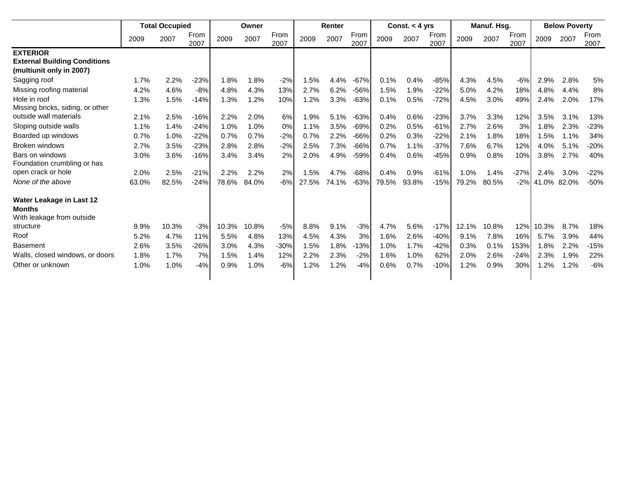|                                                                                    | <b>Total Occupied</b> |       |              | Owner |       |              | Renter |       |              | Const. $<$ 4 yrs |       |              | Manuf. Hsg. |       |              | <b>Below Poverty</b> |      |              |
|------------------------------------------------------------------------------------|-----------------------|-------|--------------|-------|-------|--------------|--------|-------|--------------|------------------|-------|--------------|-------------|-------|--------------|----------------------|------|--------------|
|                                                                                    | 2009                  | 2007  | From<br>2007 | 2009  | 2007  | From<br>2007 | 2009   | 2007  | From<br>2007 | 2009             | 2007  | From<br>2007 | 2009        | 2007  | From<br>2007 | 2009                 | 2007 | From<br>2007 |
| <b>EXTERIOR</b><br><b>External Building Conditions</b><br>(multiunit only in 2007) |                       |       |              |       |       |              |        |       |              |                  |       |              |             |       |              |                      |      |              |
| Sagging roof                                                                       | 1.7%                  | 2.2%  | $-23%$       | 1.8%  | 1.8%  | $-2%$        | 1.5%   | 4.4%  | $-67%$       | 0.1%             | 0.4%  | $-85%$       | 4.3%        | 4.5%  | $-6%$        | 2.9%                 | 2.8% | 5%           |
| Missing roofing material                                                           | 4.2%                  | 4.6%  | $-8%$        | 4.8%  | 4.3%  | 13%          | 2.7%   | 6.2%  | $-56%$       | 1.5%             | 1.9%  | $-22%$       | 5.0%        | 4.2%  | 18%          | 4.8%                 | 4.4% | 8%           |
| Hole in roof<br>Missing bricks, siding, or other                                   | 1.3%                  | 1.5%  | $-14%$       | 1.3%  | 1.2%  | 10%          | 1.2%   | 3.3%  | $-63%$       | 0.1%             | 0.5%  | $-72%$       | 4.5%        | 3.0%  | 49%          | 2.4%                 | 2.0% | 17%          |
| outside wall materials                                                             | 2.1%                  | 2.5%  | $-16%$       | 2.2%  | 2.0%  | 6%           | 1.9%   | 5.1%  | $-63%$       | 0.4%             | 0.6%  | $-23%$       | 3.7%        | 3.3%  | 12%          | 3.5%                 | 3.1% | 13%          |
| Sloping outside walls                                                              | 1.1%                  | 1.4%  | $-24%$       | 1.0%  | 1.0%  | 0%           | 1.1%   | 3.5%  | $-69%$       | 0.2%             | 0.5%  | $-61%$       | 2.7%        | 2.6%  | 3%           | 1.8%                 | 2.3% | -23%         |
| Boarded up windows                                                                 | 0.7%                  | 1.0%  | $-22%$       | 0.7%  | 0.7%  | $-2%$        | 0.7%   | 2.2%  | $-66%$       | 0.2%             | 0.3%  | $-22%$       | 2.1%        | 1.8%  | 18%          | 1.5%                 | 1.1% | 34%          |
| Broken windows                                                                     | 2.7%                  | 3.5%  | $-23%$       | 2.8%  | 2.8%  | $-2%$        | 2.5%   | 7.3%  | $-66%$       | 0.7%             | 1.1%  | $-37%$       | 7.6%        | 6.7%  | 12%          | 4.0%                 | 5.1% | $-20%$       |
| Bars on windows<br>Foundation crumbling or has                                     | 3.0%                  | 3.6%  | $-16%$       | 3.4%  | 3.4%  | 2%           | 2.0%   | 4.9%  | $-59%$       | 0.4%             | 0.6%  | $-45%$       | 0.9%        | 0.8%  | 10%          | 3.8%                 | 2.7% | 40%          |
| open crack or hole                                                                 | 2.0%                  | 2.5%  | $-21%$       | 2.2%  | 2.2%  | 2%           | 1.5%   | 4.7%  | $-68%$       | 0.4%             | 0.9%  | $-61%$       | 1.0%        | 1.4%  | $-27%$       | 2.4%                 | 3.0% | $-22%$       |
| None of the above                                                                  | 63.0%                 | 82.5% | $-24%$       | 78.6% | 84.0% | $-6%$        | 27.5%  | 74.1% | $-63%$       | 79.5%            | 93.8% | $-15%$       | 79.2%       | 80.5% | $-2%$        | 41.0% 82.0%          |      | $-50%$       |
| Water Leakage in Last 12<br><b>Months</b><br>With leakage from outside             |                       |       |              |       |       |              |        |       |              |                  |       |              |             |       |              |                      |      |              |
| structure                                                                          | 9.9%                  | 10.3% | $-3%$        | 10.3% | 10.8% | $-5%$        | 8.8%   | 9.1%  | $-3%$        | 4.7%             | 5.6%  | $-17%$       | 12.1%       | 10.8% | 12%          | 10.3%                | 8.7% | 18%          |
| Roof                                                                               | 5.2%                  | 4.7%  | 11%          | 5.5%  | 4.8%  | 13%          | 4.5%   | 4.3%  | 3%           | 1.6%             | 2.6%  | $-40%$       | 9.1%        | 7.8%  | 16%          | 5.7%                 | 3.9% | 44%          |
| <b>Basement</b>                                                                    | 2.6%                  | 3.5%  | -26%         | 3.0%  | 4.3%  | $-30%$       | 1.5%   | 1.8%  | $-13%$       | 1.0%             | 1.7%  | $-42%$       | 0.3%        | 0.1%  | 153%         | 1.8%                 | 2.2% | $-15%$       |
| Walls, closed windows, or doors                                                    | 1.8%                  | 1.7%  | 7%           | 1.5%  | 1.4%  | 12%          | 2.2%   | 2.3%  | $-2%$        | 1.6%             | 1.0%  | 62%          | 2.0%        | 2.6%  | $-24%$       | 2.3%                 | 1.9% | 22%          |
| Other or unknown                                                                   | 1.0%                  | 1.0%  | $-4%$        | 0.9%  | 1.0%  | $-6%$        | 1.2%   | 1.2%  | $-4%$        | 0.6%             | 0.7%  | $-10%$       | 1.2%        | 0.9%  | 30%          | 1.2%                 | 1.2% | $-6%$        |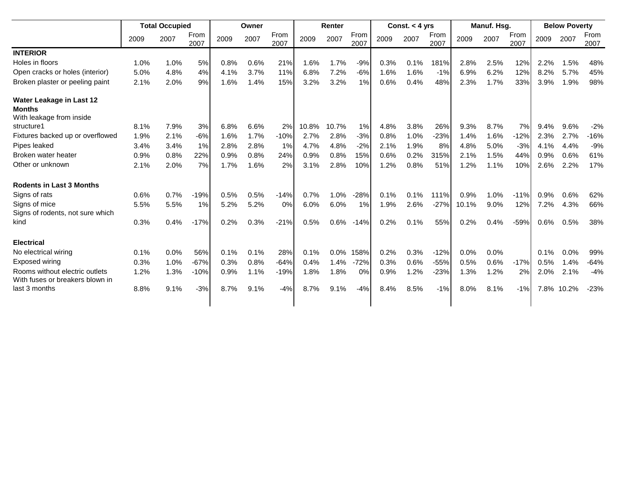|                                                                       |      | <b>Total Occupied</b> |              |      | Owner |              |       | Renter |              | Const. $<$ 4 yrs |      |              |       | Manuf. Hsg. |              |      | <b>Below Poverty</b> |              |  |
|-----------------------------------------------------------------------|------|-----------------------|--------------|------|-------|--------------|-------|--------|--------------|------------------|------|--------------|-------|-------------|--------------|------|----------------------|--------------|--|
|                                                                       | 2009 | 2007                  | From<br>2007 | 2009 | 2007  | From<br>2007 | 2009  | 2007   | From<br>2007 | 2009             | 2007 | From<br>2007 | 2009  | 2007        | From<br>2007 | 2009 | 2007                 | From<br>2007 |  |
| <b>INTERIOR</b>                                                       |      |                       |              |      |       |              |       |        |              |                  |      |              |       |             |              |      |                      |              |  |
| Holes in floors                                                       | 1.0% | 1.0%                  | 5%           | 0.8% | 0.6%  | 21%          | 1.6%  | 1.7%   | $-9%$        | 0.3%             | 0.1% | 181%         | 2.8%  | 2.5%        | 12%          | 2.2% | 1.5%                 | 48%          |  |
| Open cracks or holes (interior)                                       | 5.0% | 4.8%                  | 4%           | 4.1% | 3.7%  | 11%          | 6.8%  | 7.2%   | $-6%$        | 1.6%             | 1.6% | $-1%$        | 6.9%  | 6.2%        | 12%          | 8.2% | 5.7%                 | 45%          |  |
| Broken plaster or peeling paint                                       | 2.1% | 2.0%                  | 9%           | 1.6% | 1.4%  | 15%          | 3.2%  | 3.2%   | 1%           | 0.6%             | 0.4% | 48%          | 2.3%  | 1.7%        | 33%          | 3.9% | 1.9%                 | 98%          |  |
| Water Leakage in Last 12<br><b>Months</b><br>With leakage from inside |      |                       |              |      |       |              |       |        |              |                  |      |              |       |             |              |      |                      |              |  |
| structure1                                                            | 8.1% | 7.9%                  | 3%           | 6.8% | 6.6%  | 2%           | 10.8% | 10.7%  | 1%           | 4.8%             | 3.8% | 26%          | 9.3%  | 8.7%        | 7%           | 9.4% | 9.6%                 | $-2%$        |  |
| Fixtures backed up or overflowed                                      | 1.9% | 2.1%                  | $-6%$        | 1.6% | 1.7%  | $-10%$       | 2.7%  | 2.8%   | $-3%$        | 0.8%             | 1.0% | $-23%$       | 1.4%  | 1.6%        | $-12%$       | 2.3% | 2.7%                 | $-16%$       |  |
| Pipes leaked                                                          | 3.4% | 3.4%                  | 1%           | 2.8% | 2.8%  | 1%           | 4.7%  | 4.8%   | $-2%$        | 2.1%             | 1.9% | 8%           | 4.8%  | 5.0%        | $-3%$        | 4.1% | 4.4%                 | $-9%$        |  |
| Broken water heater                                                   | 0.9% | 0.8%                  | 22%          | 0.9% | 0.8%  | 24%          | 0.9%  | 0.8%   | 15%          | 0.6%             | 0.2% | 315%         | 2.1%  | 1.5%        | 44%          | 0.9% | 0.6%                 | 61%          |  |
| Other or unknown                                                      | 2.1% | 2.0%                  | 7%           | 1.7% | 1.6%  | 2%           | 3.1%  | 2.8%   | 10%          | 1.2%             | 0.8% | 51%          | 1.2%  | 1.1%        | 10%          | 2.6% | 2.2%                 | 17%          |  |
| <b>Rodents in Last 3 Months</b>                                       |      |                       |              |      |       |              |       |        |              |                  |      |              |       |             |              |      |                      |              |  |
| Signs of rats                                                         | 0.6% | 0.7%                  | $-19%$       | 0.5% | 0.5%  | $-14%$       | 0.7%  | 1.0%   | $-28%$       | 0.1%             | 0.1% | 111%         | 0.9%  | 1.0%        | $-11%$       | 0.9% | 0.6%                 | 62%          |  |
| Signs of mice                                                         | 5.5% | 5.5%                  | 1%           | 5.2% | 5.2%  | 0%           | 6.0%  | 6.0%   | 1%           | 1.9%             | 2.6% | $-27%$       | 10.1% | 9.0%        | 12%          | 7.2% | 4.3%                 | 66%          |  |
| Signs of rodents, not sure which                                      |      |                       |              |      |       |              |       |        |              |                  |      |              |       |             |              |      |                      |              |  |
| kind                                                                  | 0.3% | 0.4%                  | $-17%$       | 0.2% | 0.3%  | $-21%$       | 0.5%  | 0.6%   | $-14%$       | 0.2%             | 0.1% | 55%          | 0.2%  | 0.4%        | $-59%$       | 0.6% | 0.5%                 | 38%          |  |
| <b>Electrical</b>                                                     |      |                       |              |      |       |              |       |        |              |                  |      |              |       |             |              |      |                      |              |  |
| No electrical wiring                                                  | 0.1% | 0.0%                  | 56%          | 0.1% | 0.1%  | 28%          | 0.1%  | 0.0%   | 158%         | 0.2%             | 0.3% | $-12%$       | 0.0%  | 0.0%        |              | 0.1% | 0.0%                 | 99%          |  |
| Exposed wiring                                                        | 0.3% | 1.0%                  | $-67%$       | 0.3% | 0.8%  | $-64%$       | 0.4%  | 1.4%   | $-72%$       | 0.3%             | 0.6% | $-55%$       | 0.5%  | 0.6%        | $-17%$       | 0.5% | 1.4%                 | $-64%$       |  |
| Rooms without electric outlets<br>With fuses or breakers blown in     | 1.2% | 1.3%                  | $-10%$       | 0.9% | 1.1%  | $-19%$       | 1.8%  | 1.8%   | $0\%$        | 0.9%             | 1.2% | $-23%$       | 1.3%  | 1.2%        | 2%           | 2.0% | 2.1%                 | $-4%$        |  |
| last 3 months                                                         | 8.8% | 9.1%                  | $-3%$        | 8.7% | 9.1%  | $-4%$        | 8.7%  | 9.1%   | $-4%$        | 8.4%             | 8.5% | $-1%$        | 8.0%  | 8.1%        | $-1%$        |      | 7.8% 10.2%           | $-23%$       |  |
|                                                                       |      |                       |              |      |       |              |       |        |              |                  |      |              |       |             |              |      |                      |              |  |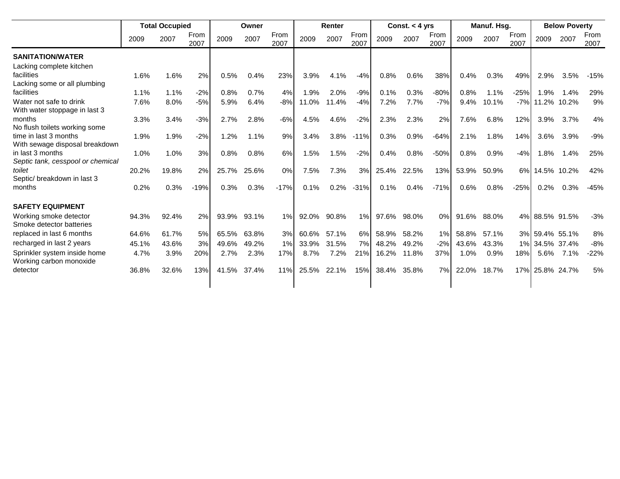|                                       |       | <b>Total Occupied</b> |              |       | Owner |              |       | Renter |              | Const. $<$ 4 yrs |       |              | Manuf. Hsg. |       |              | <b>Below Poverty</b> |      |              |
|---------------------------------------|-------|-----------------------|--------------|-------|-------|--------------|-------|--------|--------------|------------------|-------|--------------|-------------|-------|--------------|----------------------|------|--------------|
|                                       | 2009  | 2007                  | From<br>2007 | 2009  | 2007  | From<br>2007 | 2009  | 2007   | From<br>2007 | 2009             | 2007  | From<br>2007 | 2009        | 2007  | From<br>2007 | 2009                 | 2007 | From<br>2007 |
| <b>SANITATION/WATER</b>               |       |                       |              |       |       |              |       |        |              |                  |       |              |             |       |              |                      |      |              |
| Lacking complete kitchen              |       |                       |              |       |       |              |       |        |              |                  |       |              |             |       |              |                      |      |              |
| facilities                            | 1.6%  | 1.6%                  | 2%           | 0.5%  | 0.4%  | 23%          | 3.9%  | 4.1%   | $-4%$        | 0.8%             | 0.6%  | 38%          | 0.4%        | 0.3%  | 49%          | 2.9%                 | 3.5% | $-15%$       |
| Lacking some or all plumbing          |       |                       |              |       |       |              |       |        |              |                  |       |              |             |       |              |                      |      |              |
| facilities                            | 1.1%  | 1.1%                  | $-2%$        | 0.8%  | 0.7%  | 4%           | 1.9%  | 2.0%   | $-9%$        | 0.1%             | 0.3%  | $-80%$       | 0.8%        | 1.1%  | $-25%$       | .9%                  | 1.4% | 29%          |
| Water not safe to drink               | 7.6%  | 8.0%                  | $-5%$        | 5.9%  | 6.4%  | $-8%$        | 11.0% | 11.4%  | $-4%$        | 7.2%             | 7.7%  | $-7%$        | 9.4%        | 10.1% |              | -7% 11.2% 10.2%      |      | 9%           |
| With water stoppage in last 3         |       |                       |              |       |       |              |       |        |              |                  |       |              |             |       |              |                      |      |              |
| months                                | 3.3%  | 3.4%                  | $-3%$        | 2.7%  | 2.8%  | $-6%$        | 4.5%  | 4.6%   | $-2%$        | 2.3%             | 2.3%  | 2%           | 7.6%        | 6.8%  | 12%          | 3.9%                 | 3.7% | 4%           |
| No flush toilets working some         |       |                       |              |       |       |              |       |        |              |                  |       |              |             |       |              |                      |      |              |
| time in last 3 months                 | 1.9%  | 1.9%                  | $-2%$        | 1.2%  | 1.1%  | 9%           | 3.4%  | 3.8%   | $-11%$       | 0.3%             | 0.9%  | $-64%$       | 2.1%        | 1.8%  | 14%          | 3.6%                 | 3.9% | $-9%$        |
| With sewage disposal breakdown        |       |                       |              |       |       |              |       |        |              |                  |       |              |             |       |              |                      |      |              |
| in last 3 months                      | 1.0%  | 1.0%                  | 3%           | 0.8%  | 0.8%  | 6%           | 1.5%  | 1.5%   | $-2%$        | 0.4%             | 0.8%  | $-50%$       | 0.8%        | 0.9%  | $-4%$        | 1.8%                 | 1.4% | 25%          |
| Septic tank, cesspool or chemical     |       |                       |              |       |       |              |       |        |              |                  |       |              |             |       |              |                      |      |              |
| toilet<br>Septic/ breakdown in last 3 | 20.2% | 19.8%                 | 2%           | 25.7% | 25.6% | 0%           | 7.5%  | 7.3%   | 3%           | 25.4%            | 22.5% | 13%          | 53.9%       | 50.9% |              | 6% 14.5% 10.2%       |      | 42%          |
| months                                |       | 0.3%                  | $-19%$       | 0.3%  | 0.3%  | $-17%$       | 0.1%  | 0.2%   | $-31%$       | 0.1%             | 0.4%  | $-71%$       | 0.6%        | 0.8%  | $-25%$       | 0.2%                 | 0.3% | $-45%$       |
|                                       | 0.2%  |                       |              |       |       |              |       |        |              |                  |       |              |             |       |              |                      |      |              |
| <b>SAFETY EQUIPMENT</b>               |       |                       |              |       |       |              |       |        |              |                  |       |              |             |       |              |                      |      |              |
| Working smoke detector                | 94.3% | 92.4%                 | 2%           | 93.9% | 93.1% | 1%           | 92.0% | 90.8%  | 1%           | 97.6%            | 98.0% | 0%           | 91.6%       | 88.0% |              | 4% 88.5% 91.5%       |      | $-3%$        |
| Smoke detector batteries              |       |                       |              |       |       |              |       |        |              |                  |       |              |             |       |              |                      |      |              |
| replaced in last 6 months             | 64.6% | 61.7%                 | 5%           | 65.5% | 63.8% | 3%           | 60.6% | 57.1%  | 6%           | 58.9%            | 58.2% | 1%           | 58.8%       | 57.1% |              | 3% 59.4% 55.1%       |      | 8%           |
| recharged in last 2 years             | 45.1% | 43.6%                 | 3%           | 49.6% | 49.2% | 1%           | 33.9% | 31.5%  | 7%           | 48.2%            | 49.2% | $-2%$        | 43.6%       | 43.3% |              | 1% 34.5% 37.4%       |      | $-8%$        |
| Sprinkler system inside home          | 4.7%  | 3.9%                  | 20%          | 2.7%  | 2.3%  | 17%          | 8.7%  | 7.2%   | 21%          | 16.2%            | 11.8% | 37%          | 1.0%        | 0.9%  | 18%          | 5.6%                 | 7.1% | $-22%$       |
| Working carbon monoxide               |       |                       |              |       |       |              |       |        |              |                  |       |              |             |       |              |                      |      |              |
| detector                              | 36.8% | 32.6%                 | 13%          | 41.5% | 37.4% | 11%          | 25.5% | 22.1%  | 15%          | 38.4%            | 35.8% | 7%           | 22.0%       | 18.7% |              | 17% 25.8% 24.7%      |      | 5%           |
|                                       |       |                       |              |       |       |              |       |        |              |                  |       |              |             |       |              |                      |      |              |
|                                       |       |                       |              |       |       |              |       |        |              |                  |       |              |             |       |              |                      |      |              |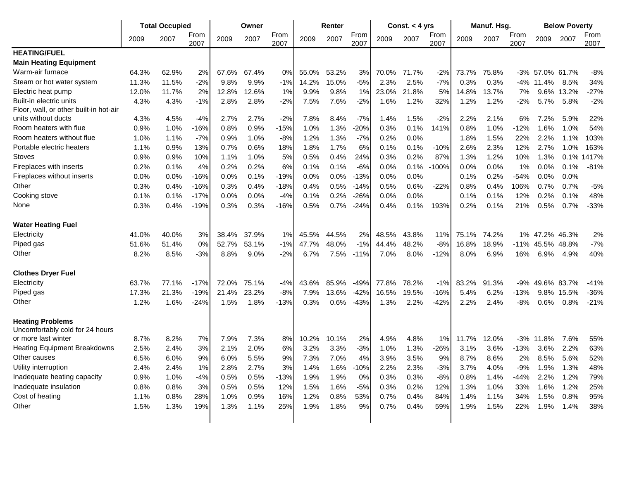|                                                            | <b>Total Occupied</b> |       |              | Owner |       |              | Renter |       |              | Const. $<$ 4 yrs |       |              | Manuf. Hsg. |       |              | <b>Below Poverty</b> |             |              |
|------------------------------------------------------------|-----------------------|-------|--------------|-------|-------|--------------|--------|-------|--------------|------------------|-------|--------------|-------------|-------|--------------|----------------------|-------------|--------------|
|                                                            | 2009                  | 2007  | From<br>2007 | 2009  | 2007  | From<br>2007 | 2009   | 2007  | From<br>2007 | 2009             | 2007  | From<br>2007 | 2009        | 2007  | From<br>2007 | 2009                 | 2007        | From<br>2007 |
| <b>HEATING/FUEL</b>                                        |                       |       |              |       |       |              |        |       |              |                  |       |              |             |       |              |                      |             |              |
| <b>Main Heating Equipment</b>                              |                       |       |              |       |       |              |        |       |              |                  |       |              |             |       |              |                      |             |              |
| Warm-air furnace                                           | 64.3%                 | 62.9% | 2%           | 67.6% | 67.4% | 0%           | 55.0%  | 53.2% | 3%           | 70.0%            | 71.7% | $-2%$        | 73.7%       | 75.8% |              | -3% 57.0% 61.7%      |             | $-8%$        |
| Steam or hot water system                                  | 11.3%                 | 11.5% | $-2%$        | 9.8%  | 9.9%  | $-1%$        | 14.2%  | 15.0% | $-5%$        | 2.3%             | 2.5%  | $-7%$        | 0.3%        | 0.3%  | $-4%$        | 11.4%                | 8.5%        | 34%          |
| Electric heat pump                                         | 12.0%                 | 11.7% | 2%           | 12.8% | 12.6% | 1%           | 9.9%   | 9.8%  | 1%           | 23.0%            | 21.8% | 5%           | 14.8%       | 13.7% | 7%           | $9.6\%$              | 13.2%       | $-27%$       |
| Built-in electric units                                    | 4.3%                  | 4.3%  | $-1%$        | 2.8%  | 2.8%  | $-2%$        | 7.5%   | 7.6%  | $-2%$        | 1.6%             | 1.2%  | 32%          | 1.2%        | 1.2%  | $-2%$        | 5.7%                 | 5.8%        | $-2%$        |
| Floor, wall, or other built-in hot-air                     |                       |       |              |       |       |              |        |       |              |                  |       |              |             |       |              |                      |             |              |
| units without ducts                                        | 4.3%                  | 4.5%  | $-4%$        | 2.7%  | 2.7%  | $-2%$        | 7.8%   | 8.4%  | $-7%$        | 1.4%             | 1.5%  | $-2%$        | 2.2%        | 2.1%  | 6%           | 7.2%                 | 5.9%        | 22%          |
| Room heaters with flue                                     | 0.9%                  | 1.0%  | $-16%$       | 0.8%  | 0.9%  | $-15%$       | 1.0%   | 1.3%  | $-20%$       | 0.3%             | 0.1%  | 141%         | 0.8%        | 1.0%  | $-12%$       | 1.6%                 | 1.0%        | 54%          |
| Room heaters without flue                                  | 1.0%                  | 1.1%  | $-7%$        | 0.9%  | 1.0%  | $-8%$        | 1.2%   | 1.3%  | $-7%$        | 0.2%             | 0.0%  |              | 1.8%        | 1.5%  | 22%          | 2.2%                 | 1.1%        | 103%         |
| Portable electric heaters                                  | 1.1%                  | 0.9%  | 13%          | 0.7%  | 0.6%  | 18%          | 1.8%   | 1.7%  | 6%           | 0.1%             | 0.1%  | $-10%$       | 2.6%        | 2.3%  | 12%          | 2.7%                 | 1.0%        | 163%         |
| Stoves                                                     | 0.9%                  | 0.9%  | 10%          | 1.1%  | 1.0%  | 5%           | 0.5%   | 0.4%  | 24%          | 0.3%             | 0.2%  | 87%          | 1.3%        | 1.2%  | 10%          | 1.3%                 | 0.1%        | 417%         |
| Fireplaces with inserts                                    | 0.2%                  | 0.1%  | 4%           | 0.2%  | 0.2%  | 6%           | 0.1%   | 0.1%  | $-6%$        | 0.0%             | 0.1%  | $-100%$      | 0.0%        | 0.0%  | 1%           | 0.0%                 | 0.1%        | $-81%$       |
| Fireplaces without inserts                                 | 0.0%                  | 0.0%  | $-16%$       | 0.0%  | 0.1%  | $-19%$       | 0.0%   | 0.0%  | $-13%$       | 0.0%             | 0.0%  |              | 0.1%        | 0.2%  | $-54%$       | 0.0%                 | 0.0%        |              |
| Other                                                      | 0.3%                  | 0.4%  | $-16%$       | 0.3%  | 0.4%  | $-18%$       | 0.4%   | 0.5%  | $-14%$       | 0.5%             | 0.6%  | $-22%$       | 0.8%        | 0.4%  | 106%         | 0.7%                 | 0.7%        | $-5%$        |
| Cooking stove                                              | 0.1%                  | 0.1%  | $-17%$       | 0.0%  | 0.0%  | $-4%$        | 0.1%   | 0.2%  | $-26%$       | 0.0%             | 0.0%  |              | 0.1%        | 0.1%  | 12%          | 0.2%                 | 0.1%        | 48%          |
| None                                                       | 0.3%                  | 0.4%  | $-19%$       | 0.3%  | 0.3%  | $-16%$       | 0.5%   | 0.7%  | $-24%$       | 0.4%             | 0.1%  | 193%         | 0.2%        | 0.1%  | 21%          | 0.5%                 | 0.7%        | $-33%$       |
| <b>Water Heating Fuel</b>                                  |                       |       |              |       |       |              |        |       |              |                  |       |              |             |       |              |                      |             |              |
| Electricity                                                | 41.0%                 | 40.0% | 3%           | 38.4% | 37.9% | 1%           | 45.5%  | 44.5% | 2%           | 48.5%            | 43.8% | 11%          | 75.1%       | 74.2% |              | 1% 47.2%             | 46.3%       | 2%           |
| Piped gas                                                  | 51.6%                 | 51.4% | 0%           | 52.7% | 53.1% | $-1%$        | 47.7%  | 48.0% | $-1%$        | 44.4%            | 48.2% | $-8%$        | 16.8%       | 18.9% | $-11%$       | 45.5%                | 48.8%       | $-7%$        |
| Other                                                      | 8.2%                  | 8.5%  | $-3%$        | 8.8%  | 9.0%  | $-2%$        | 6.7%   | 7.5%  | $-11%$       | 7.0%             | 8.0%  | $-12%$       | 8.0%        | 6.9%  | 16%          | 6.9%                 | 4.9%        | 40%          |
| <b>Clothes Dryer Fuel</b>                                  |                       |       |              |       |       |              |        |       |              |                  |       |              |             |       |              |                      |             |              |
| Electricity                                                | 63.7%                 | 77.1% | $-17%$       | 72.0% | 75.1% | $-4%$        | 43.6%  | 85.9% | $-49%$       | 77.8%            | 78.2% | $-1%$        | 83.2%       | 91.3% | $-9%$        |                      | 49.6% 83.7% | $-41%$       |
| Piped gas                                                  | 17.3%                 | 21.3% | $-19%$       | 21.4% | 23.2% | $-8%$        | 7.9%   | 13.6% | $-42%$       | 16.5%            | 19.5% | $-16%$       | 5.4%        | 6.2%  | $-13%$       |                      | 9.8% 15.5%  | $-36%$       |
| Other                                                      | 1.2%                  | 1.6%  | $-24%$       | 1.5%  | 1.8%  | $-13%$       | 0.3%   | 0.6%  | $-43%$       | 1.3%             | 2.2%  | $-42%$       | 2.2%        | 2.4%  | $-8%$        | 0.6%                 | 0.8%        | $-21%$       |
| <b>Heating Problems</b><br>Uncomfortably cold for 24 hours |                       |       |              |       |       |              |        |       |              |                  |       |              |             |       |              |                      |             |              |
| or more last winter                                        | 8.7%                  | 8.2%  | 7%           | 7.9%  | 7.3%  | 8%           | 10.2%  | 10.1% | 2%           | 4.9%             | 4.8%  | 1%           | 11.7%       | 12.0% | $-3%$        | 11.8%                | 7.6%        | 55%          |
| <b>Heating Equipment Breakdowns</b>                        | 2.5%                  | 2.4%  | 3%           | 2.1%  | 2.0%  | 6%           | 3.2%   | 3.3%  | $-3%$        | 1.0%             | 1.3%  | $-26%$       | 3.1%        | 3.6%  | $-13%$       | 3.6%                 | 2.2%        | 63%          |
| Other causes                                               | 6.5%                  | 6.0%  | 9%           | 6.0%  | 5.5%  | 9%           | 7.3%   | 7.0%  | 4%           | 3.9%             | 3.5%  | 9%           | 8.7%        | 8.6%  | 2%           | 8.5%                 | 5.6%        | 52%          |
| Utility interruption                                       | 2.4%                  | 2.4%  | 1%           | 2.8%  | 2.7%  | 3%           | 1.4%   | 1.6%  | $-10%$       | 2.2%             | 2.3%  | $-3%$        | 3.7%        | 4.0%  | $-9%$        | 1.9%                 | 1.3%        | 48%          |
| Inadequate heating capacity                                | 0.9%                  | 1.0%  | $-4%$        | 0.5%  | 0.5%  | $-13%$       | 1.9%   | 1.9%  | 0%           | 0.3%             | 0.3%  | $-8%$        | 0.8%        | 1.4%  | $-44%$       | 2.2%                 | 1.2%        | 79%          |
| Inadequate insulation                                      | 0.8%                  | 0.8%  | 3%           | 0.5%  | 0.5%  | 12%          | 1.5%   | 1.6%  | $-5%$        | 0.3%             | 0.2%  | 12%          | 1.3%        | 1.0%  | 33%          | 1.6%                 | 1.2%        | 25%          |
| Cost of heating                                            | 1.1%                  | 0.8%  | 28%          | 1.0%  | 0.9%  | 16%          | 1.2%   | 0.8%  | 53%          | 0.7%             | 0.4%  | 84%          | 1.4%        | 1.1%  | 34%          | 1.5%                 | 0.8%        | 95%          |
| Other                                                      | 1.5%                  | 1.3%  | 19%          | 1.3%  | 1.1%  | 25%          | 1.9%   | 1.8%  | 9%           | 0.7%             | 0.4%  | 59%          | 1.9%        | 1.5%  | 22%          |                      | 1.9% 1.4%   | 38%          |
|                                                            |                       |       |              |       |       |              |        |       |              |                  |       |              |             |       |              |                      |             |              |